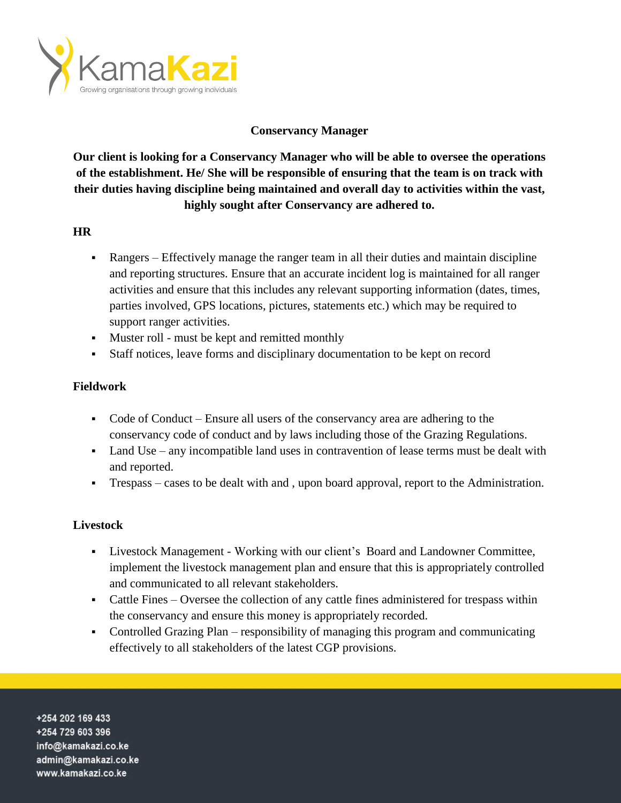

# **Conservancy Manager**

**Our client is looking for a Conservancy Manager who will be able to oversee the operations of the establishment. He/ She will be responsible of ensuring that the team is on track with their duties having discipline being maintained and overall day to activities within the vast, highly sought after Conservancy are adhered to.**

### **HR**

- Rangers Effectively manage the ranger team in all their duties and maintain discipline and reporting structures. Ensure that an accurate incident log is maintained for all ranger activities and ensure that this includes any relevant supporting information (dates, times, parties involved, GPS locations, pictures, statements etc.) which may be required to support ranger activities.
- Muster roll must be kept and remitted monthly
- Staff notices, leave forms and disciplinary documentation to be kept on record

## **Fieldwork**

- Code of Conduct Ensure all users of the conservancy area are adhering to the conservancy code of conduct and by laws including those of the Grazing Regulations.
- Land Use any incompatible land uses in contravention of lease terms must be dealt with and reported.
- Trespass cases to be dealt with and , upon board approval, report to the Administration.

## **Livestock**

- Livestock Management Working with our client's Board and Landowner Committee, implement the livestock management plan and ensure that this is appropriately controlled and communicated to all relevant stakeholders.
- Cattle Fines Oversee the collection of any cattle fines administered for trespass within the conservancy and ensure this money is appropriately recorded.
- Controlled Grazing Plan responsibility of managing this program and communicating effectively to all stakeholders of the latest CGP provisions.

+254 202 169 433 +254 729 603 396 info@kamakazi.co.ke admin@kamakazi.co.ke www.kamakazi.co.ke